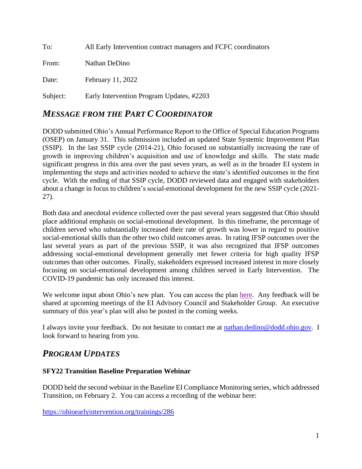To: All Early Intervention contract managers and FCFC coordinators From: Nathan DeDino Date: February 11, 2022 Subject: Early Intervention Program Updates, #2203

## *MESSAGE FROM THE PART C COORDINATOR*

DODD submitted Ohio's Annual Performance Report to the Office of Special Education Programs (OSEP) on January 31. This submission included an updated State Systemic Improvement Plan (SSIP). In the last SSIP cycle (2014-21), Ohio focused on substantially increasing the rate of growth in improving children's acquisition and use of knowledge and skills. The state made significant progress in this area over the past seven years, as well as in the broader EI system in implementing the steps and activities needed to achieve the state's identified outcomes in the first cycle. With the ending of that SSIP cycle, DODD reviewed data and engaged with stakeholders about a change in focus to children's social-emotional development for the new SSIP cycle (2021- 27).

Both data and anecdotal evidence collected over the past several years suggested that Ohio should place additional emphasis on social-emotional development. In this timeframe, the percentage of children served who substantially increased their rate of growth was lower in regard to positive social-emotional skills than the other two child outcomes areas. In rating IFSP outcomes over the last several years as part of the previous SSIP, it was also recognized that IFSP outcomes addressing social-emotional development generally met fewer criteria for high quality IFSP outcomes than other outcomes. Finally, stakeholders expressed increased interest in more closely focusing on social-emotional development among children served in Early Intervention. The COVID-19 pandemic has only increased this interest.

We welcome input about Ohio's new plan. You can access the plan [here.](https://ohioearlyintervention.org/federal-reporting-and-postings) Any feedback will be shared at upcoming meetings of the EI Advisory Council and Stakeholder Group. An executive summary of this year's plan will also be posted in the coming weeks.

I always invite your feedback. Do not hesitate to contact me at [nathan.dedino@dodd.ohio.gov.](mailto:nathan.dedino@dodd.ohio.gov) I look forward to hearing from you.

# *PROGRAM UPDATES*

#### **SFY22 Transition Baseline Preparation Webinar**

DODD held the second webinar in the Baseline EI Compliance Monitoring series, which addressed Transition, on February 2. You can access a recording of the webinar here:

<https://ohioearlyintervention.org/trainings/286>